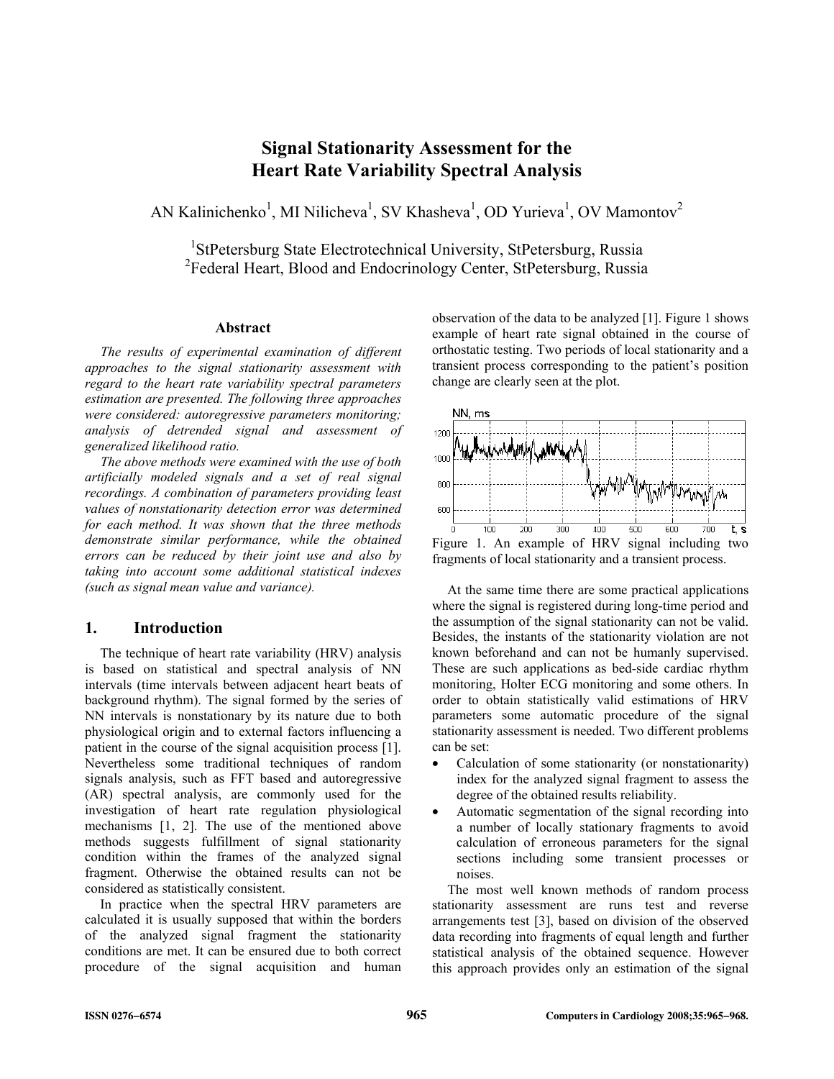# **Signal Stationarity Assessment for the Heart Rate Variability Spectral Analysis**

AN Kalinichenko<sup>1</sup>, MI Nilicheva<sup>1</sup>, SV Khasheva<sup>1</sup>, OD Yurieva<sup>1</sup>, OV Mamontov<sup>2</sup>

<sup>1</sup>StPetersburg State Electrotechnical University, StPetersburg, Russia <sup>2</sup>Federal Heart, Blood and Endocrinology Center, StPetersburg, Russia

## **Abstract**

*The results of experimental examination of different approaches to the signal stationarity assessment with regard to the heart rate variability spectral parameters estimation are presented. The following three approaches were considered: autoregressive parameters monitoring; analysis of detrended signal and assessment of generalized likelihood ratio.* 

*The above methods were examined with the use of both artificially modeled signals and a set of real signal recordings. A combination of parameters providing least values of nonstationarity detection error was determined for each method. It was shown that the three methods demonstrate similar performance, while the obtained errors can be reduced by their joint use and also by taking into account some additional statistical indexes (such as signal mean value and variance).* 

# **1. Introduction**

The technique of heart rate variability (HRV) analysis is based on statistical and spectral analysis of NN intervals (time intervals between adjacent heart beats of background rhythm). The signal formed by the series of NN intervals is nonstationary by its nature due to both physiological origin and to external factors influencing a patient in the course of the signal acquisition process [1]. Nevertheless some traditional techniques of random signals analysis, such as FFT based and autoregressive (AR) spectral analysis, are commonly used for the investigation of heart rate regulation physiological mechanisms [1, 2]. The use of the mentioned above methods suggests fulfillment of signal stationarity condition within the frames of the analyzed signal fragment. Otherwise the obtained results can not be considered as statistically consistent.

In practice when the spectral HRV parameters are calculated it is usually supposed that within the borders of the analyzed signal fragment the stationarity conditions are met. It can be ensured due to both correct procedure of the signal acquisition and human observation of the data to be analyzed [1]. Figure 1 shows example of heart rate signal obtained in the course of orthostatic testing. Two periods of local stationarity and a transient process corresponding to the patient's position change are clearly seen at the plot.



At the same time there are some practical applications where the signal is registered during long-time period and the assumption of the signal stationarity can not be valid. Besides, the instants of the stationarity violation are not known beforehand and can not be humanly supervised. These are such applications as bed-side cardiac rhythm monitoring, Holter ECG monitoring and some others. In order to obtain statistically valid estimations of HRV parameters some automatic procedure of the signal stationarity assessment is needed. Two different problems can be set:

- Calculation of some stationarity (or nonstationarity) index for the analyzed signal fragment to assess the degree of the obtained results reliability.
- Automatic segmentation of the signal recording into a number of locally stationary fragments to avoid calculation of erroneous parameters for the signal sections including some transient processes or noises.

The most well known methods of random process stationarity assessment are runs test and reverse arrangements test [3], based on division of the observed data recording into fragments of equal length and further statistical analysis of the obtained sequence. However this approach provides only an estimation of the signal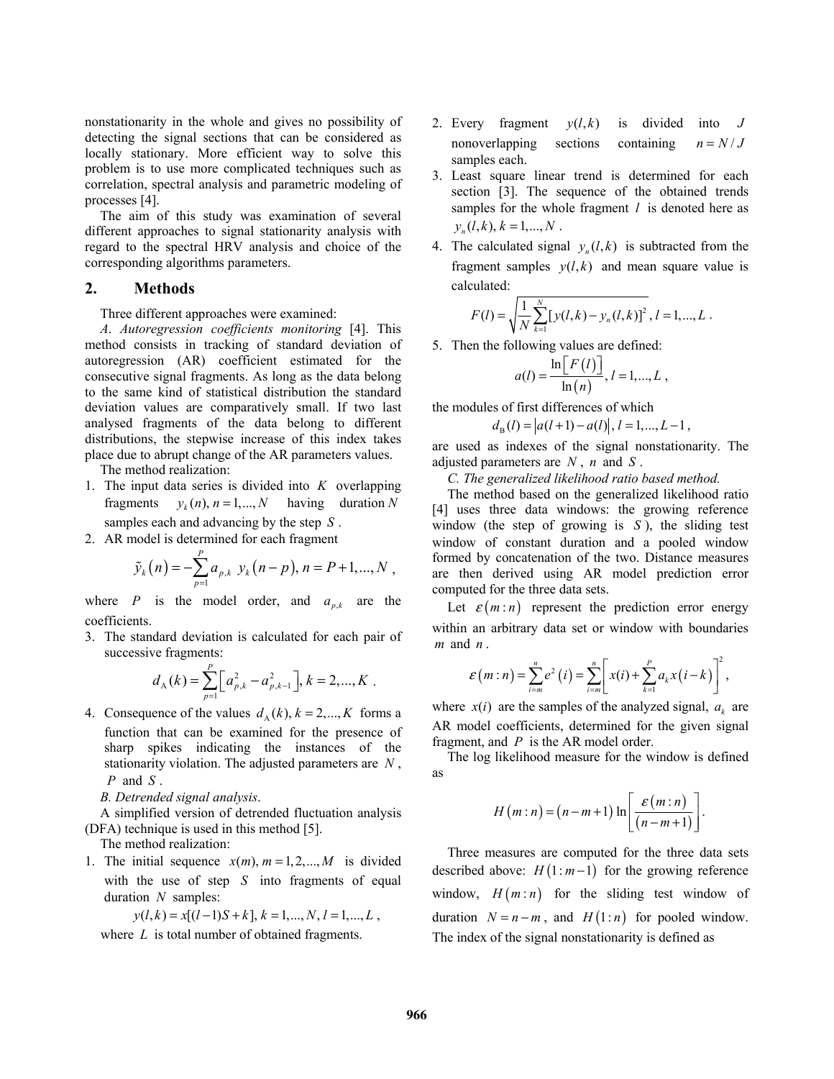nonstationarity in the whole and gives no possibility of detecting the signal sections that can be considered as locally stationary. More efficient way to solve this problem is to use more complicated techniques such as correlation, spectral analysis and parametric modeling of processes [4].

The aim of this study was examination of several different approaches to signal stationarity analysis with regard to the spectral HRV analysis and choice of the corresponding algorithms parameters.

# **2. Methods**

#### Three different approaches were examined:

*A*. *Autoregression coefficients monitoring* [4]. This method consists in tracking of standard deviation of autoregression (AR) coefficient estimated for the consecutive signal fragments. As long as the data belong to the same kind of statistical distribution the standard deviation values are comparatively small. If two last analysed fragments of the data belong to different distributions, the stepwise increase of this index takes place due to abrupt change of the AR parameters values.

The method realization:

- 1. The input data series is divided into *K* overlapping fragments  $y_k(n), n = 1,..., N$  having duration *N* samples each and advancing by the step *S* .
- 2. AR model is determined for each fragment

$$
\tilde{y}_k(n) = -\sum_{p=1}^P a_{p,k} y_k(n-p), n = P+1,...,N
$$
,

where *P* is the model order, and  $a_{p,k}$  are the coefficients.

3. The standard deviation is calculated for each pair of successive fragments:

$$
d_{A}(k) = \sum_{p=1}^{P} \left[ a_{p,k}^{2} - a_{p,k-1}^{2} \right], k = 2,...,K.
$$

4. Consequence of the values  $d_A(k)$ ,  $k = 2,..., K$  forms a function that can be examined for the presence of sharp spikes indicating the instances of the stationarity violation. The adjusted parameters are *N* , *P* and *S* .

*B. Detrended signal analysis*.

A simplified version of detrended fluctuation analysis (DFA) technique is used in this method [5].

The method realization:

1. The initial sequence  $x(m)$ ,  $m = 1, 2, \dots, M$  is divided with the use of step *S* into fragments of equal duration *N* samples:

$$
y(l,k) = x[(l-1)S + k], k = 1,..., N, l = 1,..., L,
$$

where *L* is total number of obtained fragments.

- 2. Every fragment  $y(l, k)$  is divided into *J* nonoverlapping sections containing  $n = N/J$ samples each.
- 3. Least square linear trend is determined for each section [3]. The sequence of the obtained trends samples for the whole fragment *l* is denoted here as  $y_n(l, k), k = 1, ..., N$ .
- 4. The calculated signal  $y_n(l, k)$  is subtracted from the fragment samples  $y(l, k)$  and mean square value is calculated:

$$
F(l) = \sqrt{\frac{1}{N} \sum_{k=1}^{N} [y(l, k) - y_n(l, k)]^2}, l = 1, ..., L.
$$

5. Then the following values are defined:

$$
a(l) = \frac{\ln[F(l)]}{\ln(n)}, l = 1,...,L,
$$

the modules of first differences of which

 $d_{\rm B}(l) = |a(l+1) - a(l)|, l = 1,..., L-1,$ 

are used as indexes of the signal nonstationarity. The adjusted parameters are *N* , *n* and *S* .

*C. The generalized likelihood ratio based method.* 

The method based on the generalized likelihood ratio [4] uses three data windows: the growing reference window (the step of growing is *S* ), the sliding test window of constant duration and a pooled window formed by concatenation of the two. Distance measures are then derived using AR model prediction error computed for the three data sets.

Let  $\varepsilon$ (*m* : *n*) represent the prediction error energy within an arbitrary data set or window with boundaries *m* and *n* .

$$
\mathcal{E}\left(m:n\right)=\sum_{i=m}^{n}e^{2}\left(i\right)=\sum_{i=m}^{n}\left[x(i)+\sum_{k=1}^{p}a_{k}x\left(i-k\right)\right]^{2},
$$

where  $x(i)$  are the samples of the analyzed signal,  $a_k$  are AR model coefficients, determined for the given signal fragment, and *P* is the AR model order.

The log likelihood measure for the window is defined as

$$
H(m:n) = (n-m+1)\ln\left[\frac{\varepsilon(m:n)}{(n-m+1)}\right]
$$

.

Three measures are computed for the three data sets described above:  $H(1:m-1)$  for the growing reference window,  $H(m:n)$  for the sliding test window of duration  $N = n - m$ , and  $H(1:n)$  for pooled window. The index of the signal nonstationarity is defined as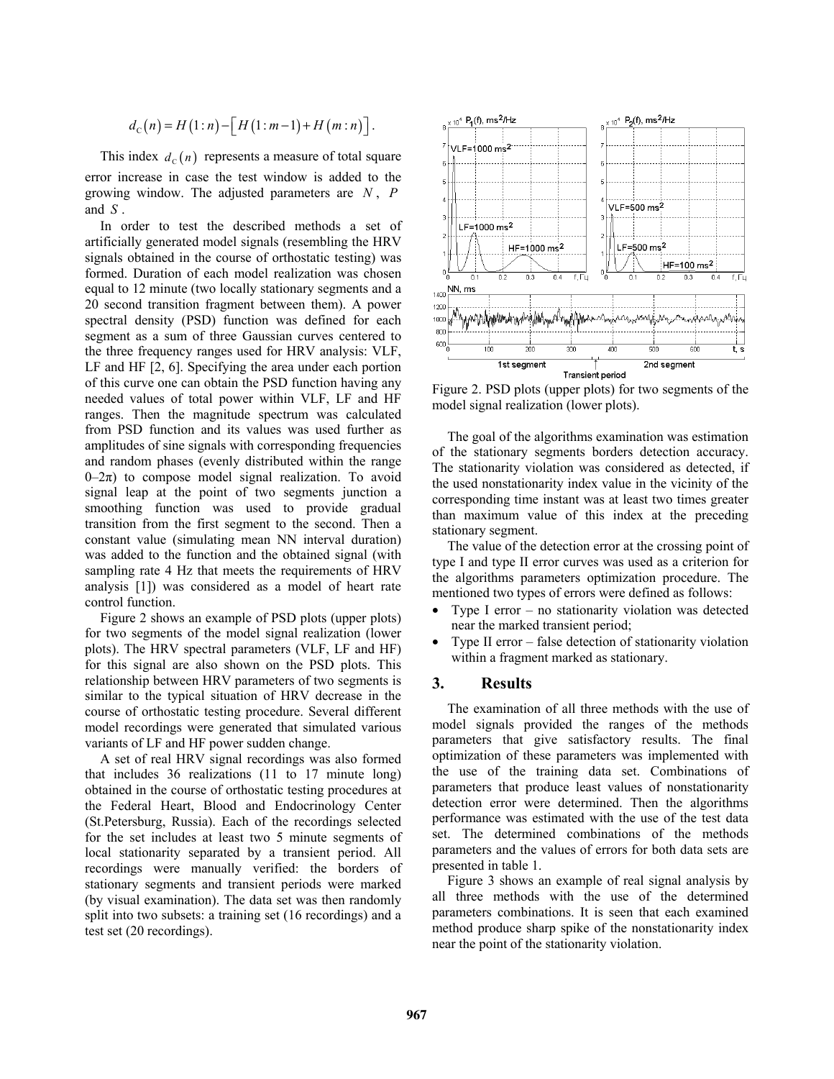$$
d_{\mathcal{C}}(n) = H(1:n) - \left[H(1:m-1) + H(m:n)\right].
$$

This index  $d_c(n)$  represents a measure of total square error increase in case the test window is added to the growing window. The adjusted parameters are *N* , *P* and *S* .

In order to test the described methods a set of artificially generated model signals (resembling the HRV signals obtained in the course of orthostatic testing) was formed. Duration of each model realization was chosen equal to 12 minute (two locally stationary segments and a 20 second transition fragment between them). A power spectral density (PSD) function was defined for each segment as a sum of three Gaussian curves centered to the three frequency ranges used for HRV analysis: VLF, LF and HF [2, 6]. Specifying the area under each portion of this curve one can obtain the PSD function having any needed values of total power within VLF, LF and HF ranges. Then the magnitude spectrum was calculated from PSD function and its values was used further as amplitudes of sine signals with corresponding frequencies and random phases (evenly distributed within the range  $0-2\pi$ ) to compose model signal realization. To avoid signal leap at the point of two segments junction a smoothing function was used to provide gradual transition from the first segment to the second. Then a constant value (simulating mean NN interval duration) was added to the function and the obtained signal (with sampling rate 4 Hz that meets the requirements of HRV analysis [1]) was considered as a model of heart rate control function.

Figure 2 shows an example of PSD plots (upper plots) for two segments of the model signal realization (lower plots). The HRV spectral parameters (VLF, LF and HF) for this signal are also shown on the PSD plots. This relationship between HRV parameters of two segments is similar to the typical situation of HRV decrease in the course of orthostatic testing procedure. Several different model recordings were generated that simulated various variants of LF and HF power sudden change.

A set of real HRV signal recordings was also formed that includes 36 realizations (11 to 17 minute long) obtained in the course of orthostatic testing procedures at the Federal Heart, Blood and Endocrinology Center (St.Petersburg, Russia). Each of the recordings selected for the set includes at least two 5 minute segments of local stationarity separated by a transient period. All recordings were manually verified: the borders of stationary segments and transient periods were marked (by visual examination). The data set was then randomly split into two subsets: a training set (16 recordings) and a test set (20 recordings).



Figure 2. PSD plots (upper plots) for two segments of the model signal realization (lower plots).

The goal of the algorithms examination was estimation of the stationary segments borders detection accuracy. The stationarity violation was considered as detected, if the used nonstationarity index value in the vicinity of the corresponding time instant was at least two times greater than maximum value of this index at the preceding stationary segment.

The value of the detection error at the crossing point of type I and type II error curves was used as a criterion for the algorithms parameters optimization procedure. The mentioned two types of errors were defined as follows:

- Type I error no stationarity violation was detected near the marked transient period;
- Type II error false detection of stationarity violation within a fragment marked as stationary.

# **3. Results**

The examination of all three methods with the use of model signals provided the ranges of the methods parameters that give satisfactory results. The final optimization of these parameters was implemented with the use of the training data set. Combinations of parameters that produce least values of nonstationarity detection error were determined. Then the algorithms performance was estimated with the use of the test data set. The determined combinations of the methods parameters and the values of errors for both data sets are presented in table 1.

Figure 3 shows an example of real signal analysis by all three methods with the use of the determined parameters combinations. It is seen that each examined method produce sharp spike of the nonstationarity index near the point of the stationarity violation.